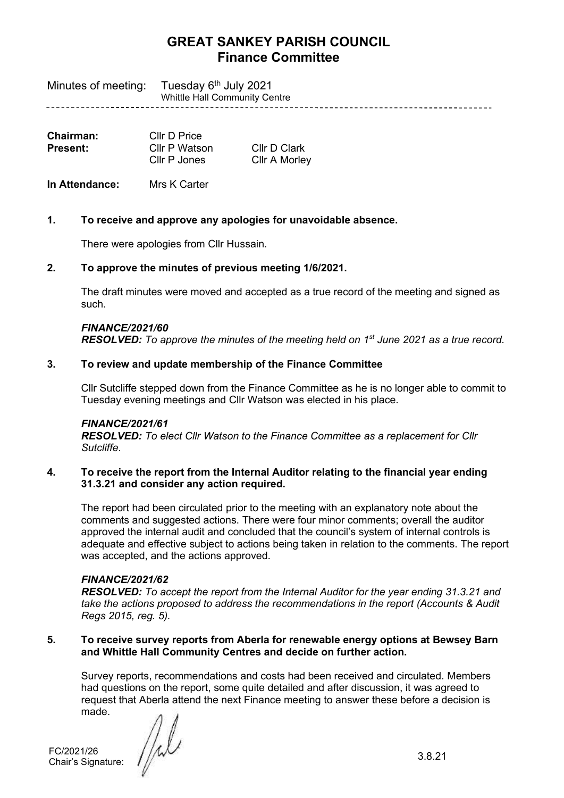Tuesday 6<sup>th</sup> July 2021 Minutes of meeting: Whittle Hall Community Centre 

| Chairman: | Cllr D Price  |                      |
|-----------|---------------|----------------------|
| Present:  | Cllr P Watson | Cllr D Clark         |
|           | Cllr P Jones  | <b>Cllr A Morley</b> |

**In Attendance:** Mrs K Carter

### **1. To receive and approve any apologies for unavoidable absence.**

There were apologies from Cllr Hussain.

### **2. To approve the minutes of previous meeting 1/6/2021.**

The draft minutes were moved and accepted as a true record of the meeting and signed as such.

# *FINANCE/2021/60*

**RESOLVED:** To approve the minutes of the meeting held on 1<sup>st</sup> June 2021 as a true record.

### **3. To review and update membership of the Finance Committee**

Cllr Sutcliffe stepped down from the Finance Committee as he is no longer able to commit to Tuesday evening meetings and Cllr Watson was elected in his place.

#### *FINANCE/2021/61*

*RESOLVED: To elect Cllr Watson to the Finance Committee as a replacement for Cllr Sutcliffe.*

### **4. To receive the report from the Internal Auditor relating to the financial year ending 31.3.21 and consider any action required.**

The report had been circulated prior to the meeting with an explanatory note about the comments and suggested actions. There were four minor comments; overall the auditor approved the internal audit and concluded that the council's system of internal controls is adequate and effective subject to actions being taken in relation to the comments. The report was accepted, and the actions approved.

#### *FINANCE/2021/62*

*RESOLVED: To accept the report from the Internal Auditor for the year ending 31.3.21 and take the actions proposed to address the recommendations in the report (Accounts & Audit Regs 2015, reg. 5).*

### **5. To receive survey reports from Aberla for renewable energy options at Bewsey Barn and Whittle Hall Community Centres and decide on further action.**

Survey reports, recommendations and costs had been received and circulated. Members had questions on the report, some quite detailed and after discussion, it was agreed to request that Aberla attend the next Finance meeting to answer these before a decision is made.

FC/2021/26 Chair's Signature: 3.8.21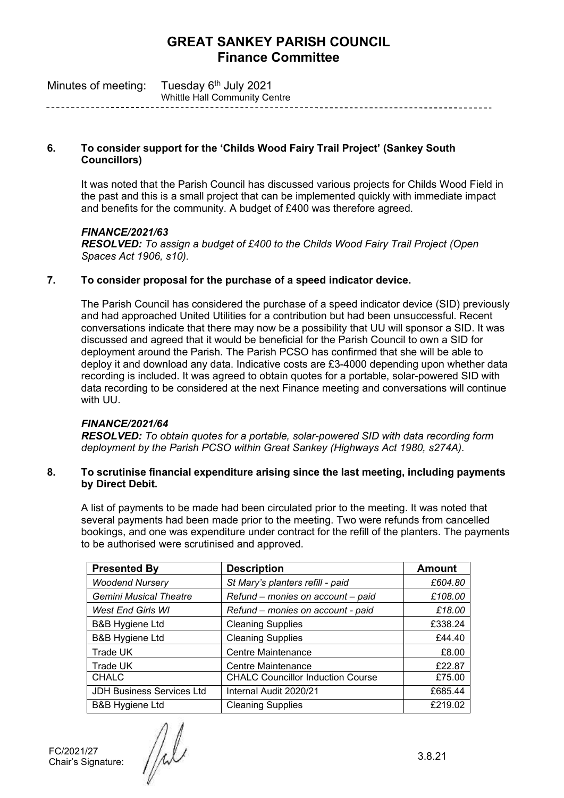| Minutes of meeting: | Tuesday 6 <sup>th</sup> July 2021    |
|---------------------|--------------------------------------|
|                     | <b>Whittle Hall Community Centre</b> |

# **6. To consider support for the 'Childs Wood Fairy Trail Project' (Sankey South Councillors)**

It was noted that the Parish Council has discussed various projects for Childs Wood Field in the past and this is a small project that can be implemented quickly with immediate impact and benefits for the community. A budget of £400 was therefore agreed.

# *FINANCE/2021/63*

*RESOLVED: To assign a budget of £400 to the Childs Wood Fairy Trail Project (Open Spaces Act 1906, s10).*

# **7. To consider proposal for the purchase of a speed indicator device.**

The Parish Council has considered the purchase of a speed indicator device (SID) previously and had approached United Utilities for a contribution but had been unsuccessful. Recent conversations indicate that there may now be a possibility that UU will sponsor a SID. It was discussed and agreed that it would be beneficial for the Parish Council to own a SID for deployment around the Parish. The Parish PCSO has confirmed that she will be able to deploy it and download any data. Indicative costs are £3-4000 depending upon whether data recording is included. It was agreed to obtain quotes for a portable, solar-powered SID with data recording to be considered at the next Finance meeting and conversations will continue with UU.

# *FINANCE/2021/64*

*RESOLVED: To obtain quotes for a portable, solar-powered SID with data recording form deployment by the Parish PCSO within Great Sankey (Highways Act 1980, s274A).*

### **8. To scrutinise financial expenditure arising since the last meeting, including payments by Direct Debit.**

A list of payments to be made had been circulated prior to the meeting. It was noted that several payments had been made prior to the meeting. Two were refunds from cancelled bookings, and one was expenditure under contract for the refill of the planters. The payments to be authorised were scrutinised and approved.

| <b>Presented By</b>              | <b>Description</b>                       | <b>Amount</b> |
|----------------------------------|------------------------------------------|---------------|
| <b>Woodend Nursery</b>           | St Mary's planters refill - paid         | £604.80       |
| <b>Gemini Musical Theatre</b>    | Refund - monies on account - paid        | £108.00       |
| <b>West End Girls WI</b>         | Refund - monies on account - paid        | £18.00        |
| <b>B&amp;B Hygiene Ltd</b>       | <b>Cleaning Supplies</b>                 | £338.24       |
| <b>B&amp;B Hygiene Ltd</b>       | <b>Cleaning Supplies</b>                 | £44.40        |
| Trade UK                         | <b>Centre Maintenance</b>                | £8.00         |
| Trade UK                         | Centre Maintenance                       | £22.87        |
| <b>CHALC</b>                     | <b>CHALC Councillor Induction Course</b> | £75.00        |
| <b>JDH Business Services Ltd</b> | Internal Audit 2020/21                   | £685.44       |
| <b>B&amp;B Hygiene Ltd</b>       | <b>Cleaning Supplies</b>                 | £219.02       |

FC/2021/27 FC/2021/27<br>Chair's Signature:  $\sqrt{\frac{1}{2}}$  3.8.21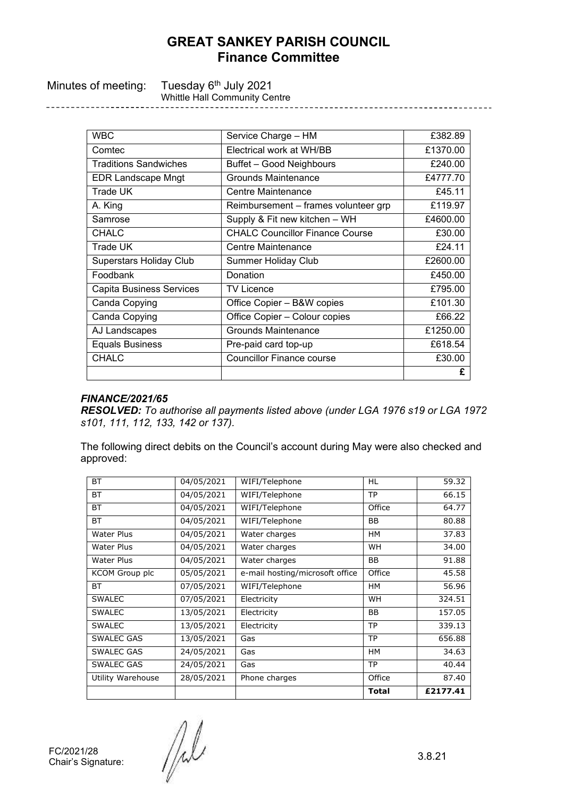| Minutes of meeting: Tuesday 6 <sup>th</sup> July 2021<br><b>Whittle Hall Community Centre</b> |
|-----------------------------------------------------------------------------------------------|
|                                                                                               |

| <b>WBC</b>                      | Service Charge - HM                    | £382.89  |
|---------------------------------|----------------------------------------|----------|
| Comtec                          | Electrical work at WH/BB               | £1370.00 |
| <b>Traditions Sandwiches</b>    | Buffet - Good Neighbours               | £240.00  |
| <b>EDR Landscape Mngt</b>       | Grounds Maintenance                    | £4777.70 |
| Trade UK                        | Centre Maintenance                     | £45.11   |
| A. King                         | Reimbursement – frames volunteer grp   | £119.97  |
| Samrose                         | Supply & Fit new kitchen - WH          | £4600.00 |
| <b>CHALC</b>                    | <b>CHALC Councillor Finance Course</b> | £30.00   |
| Trade UK                        | Centre Maintenance                     | £24.11   |
| <b>Superstars Holiday Club</b>  | <b>Summer Holiday Club</b>             | £2600.00 |
| Foodbank                        | Donation                               | £450.00  |
| <b>Capita Business Services</b> | <b>TV Licence</b>                      | £795.00  |
| Canda Copying                   | Office Copier - B&W copies             | £101.30  |
| Canda Copying                   | Office Copier - Colour copies          | £66.22   |
| AJ Landscapes                   | Grounds Maintenance                    | £1250.00 |
| <b>Equals Business</b>          | Pre-paid card top-up                   | £618.54  |
| <b>CHALC</b>                    | <b>Councillor Finance course</b>       | £30.00   |
|                                 |                                        | £        |

#### *FINANCE/2021/65*

*RESOLVED: To authorise all payments listed above (under LGA 1976 s19 or LGA 1972 s101, 111, 112, 133, 142 or 137).* 

The following direct debits on the Council's account during May were also checked and approved:

|                       |            |                                 | <b>Total</b> | £2177.41 |
|-----------------------|------------|---------------------------------|--------------|----------|
| Utility Warehouse     | 28/05/2021 | Phone charges                   | Office       | 87.40    |
| SWALEC GAS            | 24/05/2021 | Gas                             | <b>TP</b>    | 40.44    |
| SWALEC GAS            | 24/05/2021 | Gas                             | <b>HM</b>    | 34.63    |
| <b>SWALEC GAS</b>     | 13/05/2021 | Gas                             | <b>TP</b>    | 656.88   |
| <b>SWALEC</b>         | 13/05/2021 | Electricity                     | <b>TP</b>    | 339.13   |
| <b>SWALEC</b>         | 13/05/2021 | Electricity                     | <b>BB</b>    | 157.05   |
| <b>SWALEC</b>         | 07/05/2021 | Electricity                     | <b>WH</b>    | 324.51   |
| ВT                    | 07/05/2021 | WIFI/Telephone                  | HМ           | 56.96    |
| <b>KCOM Group plc</b> | 05/05/2021 | e-mail hosting/microsoft office | Office       | 45.58    |
| <b>Water Plus</b>     | 04/05/2021 | Water charges                   | <b>BB</b>    | 91.88    |
| Water Plus            | 04/05/2021 | Water charges                   | <b>WH</b>    | 34.00    |
| Water Plus            | 04/05/2021 | Water charges                   | HМ           | 37.83    |
| <b>BT</b>             | 04/05/2021 | WIFI/Telephone                  | <b>BB</b>    | 80.88    |
| ВT                    | 04/05/2021 | WIFI/Telephone                  | Office       | 64.77    |
| <b>BT</b>             | 04/05/2021 | WIFI/Telephone                  | <b>TP</b>    | 66.15    |
| <b>BT</b>             | 04/05/2021 | WIFI/Telephone                  | <b>HL</b>    | 59.32    |

FC/2021/28<br>Chair's Signature:  $\sqrt{\frac{1}{2}}$  3.8.21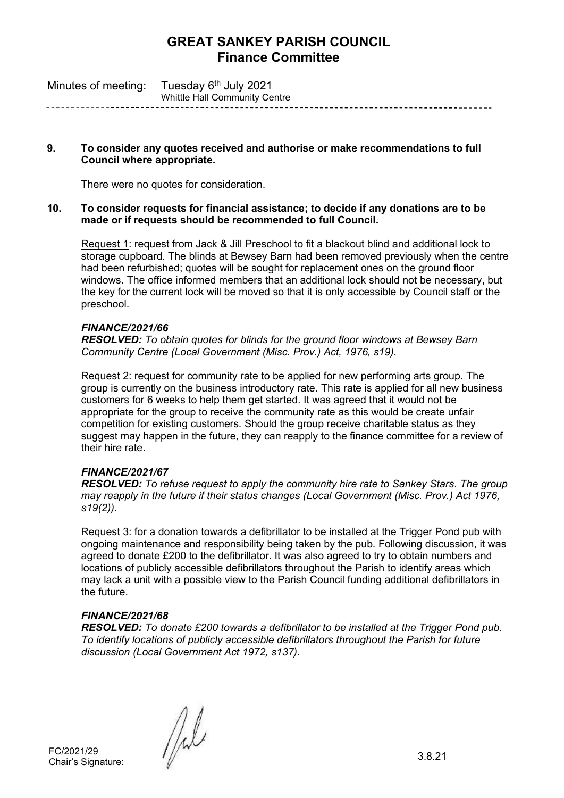| Minutes of meeting: | Tuesday 6 <sup>th</sup> July 2021    |
|---------------------|--------------------------------------|
|                     | <b>Whittle Hall Community Centre</b> |

### **9. To consider any quotes received and authorise or make recommendations to full Council where appropriate.**

There were no quotes for consideration.

#### **10. To consider requests for financial assistance; to decide if any donations are to be made or if requests should be recommended to full Council.**

Request 1: request from Jack & Jill Preschool to fit a blackout blind and additional lock to storage cupboard. The blinds at Bewsey Barn had been removed previously when the centre had been refurbished; quotes will be sought for replacement ones on the ground floor windows. The office informed members that an additional lock should not be necessary, but the key for the current lock will be moved so that it is only accessible by Council staff or the preschool.

# *FINANCE/2021/66*

*RESOLVED: To obtain quotes for blinds for the ground floor windows at Bewsey Barn Community Centre (Local Government (Misc. Prov.) Act, 1976, s19).*

Request 2: request for community rate to be applied for new performing arts group. The group is currently on the business introductory rate. This rate is applied for all new business customers for 6 weeks to help them get started. It was agreed that it would not be appropriate for the group to receive the community rate as this would be create unfair competition for existing customers. Should the group receive charitable status as they suggest may happen in the future, they can reapply to the finance committee for a review of their hire rate.

# *FINANCE/2021/67*

*RESOLVED: To refuse request to apply the community hire rate to Sankey Stars. The group may reapply in the future if their status changes (Local Government (Misc. Prov.) Act 1976, s19(2)).*

Request 3: for a donation towards a defibrillator to be installed at the Trigger Pond pub with ongoing maintenance and responsibility being taken by the pub. Following discussion, it was agreed to donate £200 to the defibrillator. It was also agreed to try to obtain numbers and locations of publicly accessible defibrillators throughout the Parish to identify areas which may lack a unit with a possible view to the Parish Council funding additional defibrillators in the future.

# *FINANCE/2021/68*

*RESOLVED: To donate £200 towards a defibrillator to be installed at the Trigger Pond pub. To identify locations of publicly accessible defibrillators throughout the Parish for future discussion (Local Government Act 1972, s137).*

FC/2021/29

FC/2021/29<br>Chair's Signature:  $\left[\begin{matrix} 1 & 0 & 0 \\ 0 & 0 & 0 \\ 0 & 0 & 0 \\ 0 & 0 & 0 \\ 0 & 0 & 0 \\ 0 & 0 & 0 \\ 0 & 0 & 0 \\ 0 & 0 & 0 \\ 0 & 0 & 0 \\ 0 & 0 & 0 \\ 0 & 0 & 0 \\ 0 & 0 & 0 \\ 0 & 0 & 0 \\ 0 & 0 & 0 \\ 0 & 0 & 0 \\ 0 & 0 & 0 \\ 0 & 0 & 0 \\ 0 & 0 & 0 \\ 0 & 0 & 0 \\ 0 & 0 & 0 \\ 0 &$